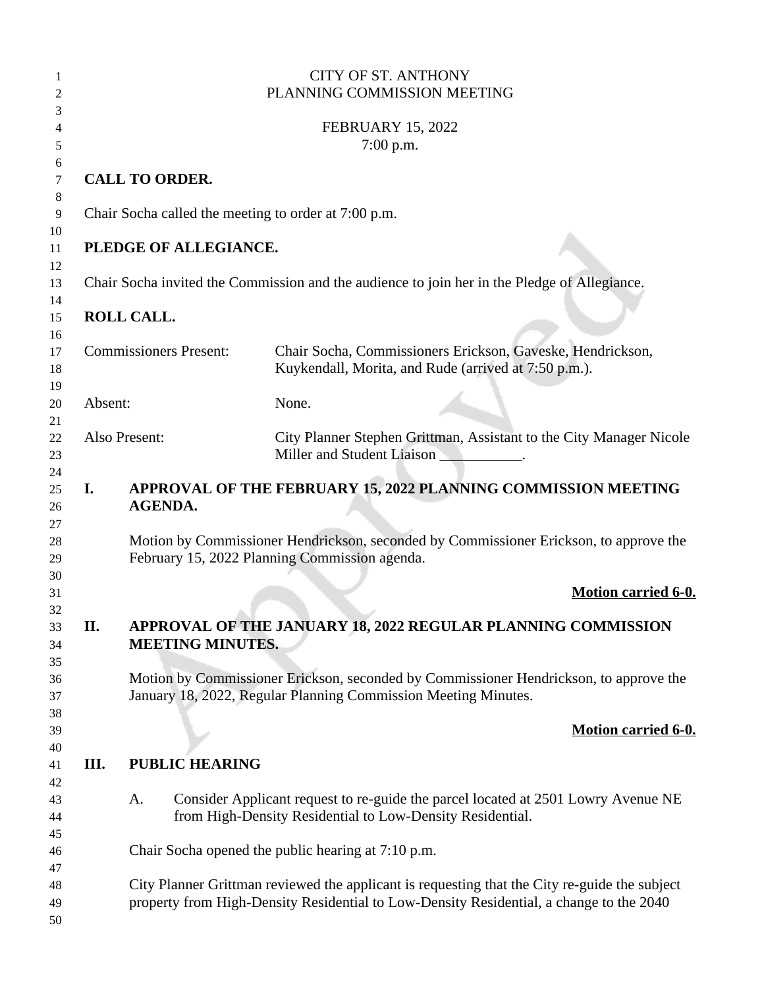|    |                               |                         | <b>CITY OF ST. ANTHONY</b><br>PLANNING COMMISSION MEETING                                                                                                                                |
|----|-------------------------------|-------------------------|------------------------------------------------------------------------------------------------------------------------------------------------------------------------------------------|
|    |                               |                         | <b>FEBRUARY 15, 2022</b><br>$7:00$ p.m.                                                                                                                                                  |
|    |                               | <b>CALL TO ORDER.</b>   |                                                                                                                                                                                          |
|    |                               |                         | Chair Socha called the meeting to order at 7:00 p.m.                                                                                                                                     |
|    |                               | PLEDGE OF ALLEGIANCE.   |                                                                                                                                                                                          |
|    |                               |                         | Chair Socha invited the Commission and the audience to join her in the Pledge of Allegiance.                                                                                             |
|    | <b>ROLL CALL.</b>             |                         |                                                                                                                                                                                          |
|    | <b>Commissioners Present:</b> |                         | Chair Socha, Commissioners Erickson, Gaveske, Hendrickson,<br>Kuykendall, Morita, and Rude (arrived at 7:50 p.m.).                                                                       |
|    | Absent:                       |                         | None.                                                                                                                                                                                    |
|    | Also Present:                 |                         | City Planner Stephen Grittman, Assistant to the City Manager Nicole<br>Miller and Student Liaison __________.                                                                            |
| I. |                               | <b>AGENDA.</b>          | APPROVAL OF THE FEBRUARY 15, 2022 PLANNING COMMISSION MEETING                                                                                                                            |
|    |                               |                         | Motion by Commissioner Hendrickson, seconded by Commissioner Erickson, to approve the<br>February 15, 2022 Planning Commission agenda.                                                   |
|    |                               |                         | <b>Motion carried 6-0.</b>                                                                                                                                                               |
| П. |                               | <b>MEETING MINUTES.</b> | APPROVAL OF THE JANUARY 18, 2022 REGULAR PLANNING COMMISSION                                                                                                                             |
|    |                               |                         | Motion by Commissioner Erickson, seconded by Commissioner Hendrickson, to approve the<br>January 18, 2022, Regular Planning Commission Meeting Minutes.                                  |
|    |                               |                         | <b>Motion carried 6-0.</b>                                                                                                                                                               |
| Ш. |                               | <b>PUBLIC HEARING</b>   |                                                                                                                                                                                          |
|    | A.                            |                         | Consider Applicant request to re-guide the parcel located at 2501 Lowry Avenue NE<br>from High-Density Residential to Low-Density Residential.                                           |
|    |                               |                         | Chair Socha opened the public hearing at 7:10 p.m.                                                                                                                                       |
|    |                               |                         | City Planner Grittman reviewed the applicant is requesting that the City re-guide the subject<br>property from High-Density Residential to Low-Density Residential, a change to the 2040 |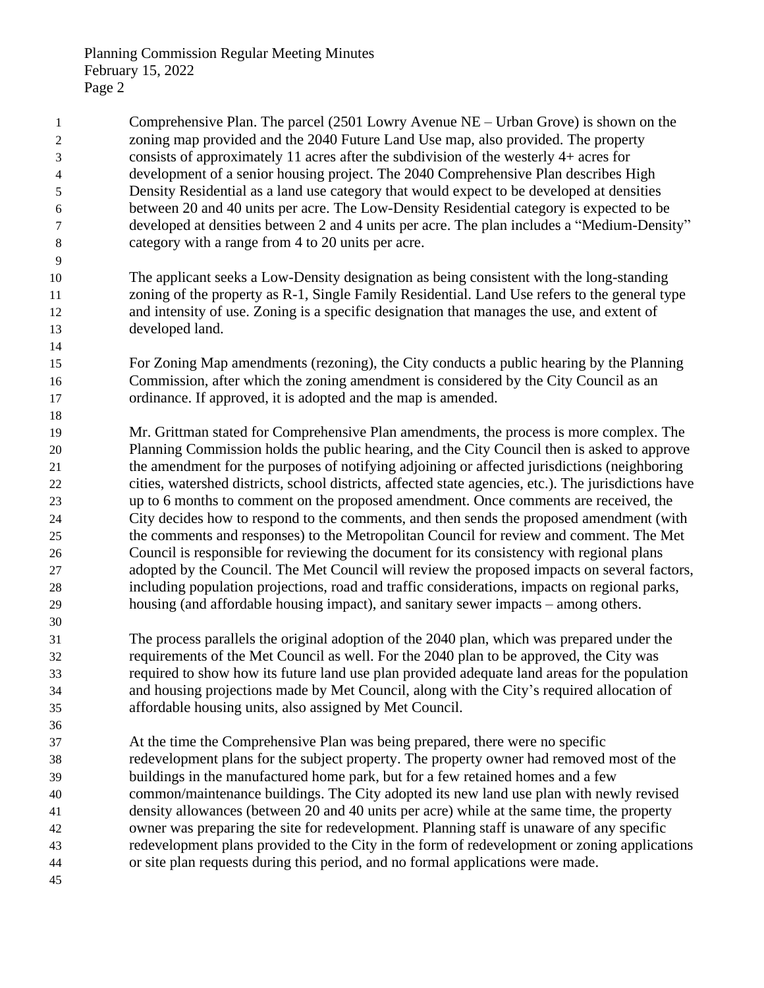| 1  | Comprehensive Plan. The parcel (2501 Lowry Avenue NE – Urban Grove) is shown on the                   |
|----|-------------------------------------------------------------------------------------------------------|
| 2  | zoning map provided and the 2040 Future Land Use map, also provided. The property                     |
| 3  | consists of approximately 11 acres after the subdivision of the westerly $4+$ acres for               |
| 4  | development of a senior housing project. The 2040 Comprehensive Plan describes High                   |
| 5  | Density Residential as a land use category that would expect to be developed at densities             |
| 6  | between 20 and 40 units per acre. The Low-Density Residential category is expected to be              |
| 7  | developed at densities between 2 and 4 units per acre. The plan includes a "Medium-Density"           |
| 8  | category with a range from 4 to 20 units per acre.                                                    |
| 9  |                                                                                                       |
| 10 | The applicant seeks a Low-Density designation as being consistent with the long-standing              |
| 11 | zoning of the property as R-1, Single Family Residential. Land Use refers to the general type         |
| 12 | and intensity of use. Zoning is a specific designation that manages the use, and extent of            |
| 13 | developed land.                                                                                       |
| 14 |                                                                                                       |
| 15 | For Zoning Map amendments (rezoning), the City conducts a public hearing by the Planning              |
| 16 | Commission, after which the zoning amendment is considered by the City Council as an                  |
| 17 | ordinance. If approved, it is adopted and the map is amended.                                         |
| 18 |                                                                                                       |
| 19 | Mr. Grittman stated for Comprehensive Plan amendments, the process is more complex. The               |
| 20 | Planning Commission holds the public hearing, and the City Council then is asked to approve           |
| 21 | the amendment for the purposes of notifying adjoining or affected jurisdictions (neighboring          |
| 22 | cities, watershed districts, school districts, affected state agencies, etc.). The jurisdictions have |
| 23 | up to 6 months to comment on the proposed amendment. Once comments are received, the                  |
| 24 | City decides how to respond to the comments, and then sends the proposed amendment (with              |
| 25 | the comments and responses) to the Metropolitan Council for review and comment. The Met               |
| 26 | Council is responsible for reviewing the document for its consistency with regional plans             |
| 27 | adopted by the Council. The Met Council will review the proposed impacts on several factors,          |
| 28 | including population projections, road and traffic considerations, impacts on regional parks,         |
| 29 | housing (and affordable housing impact), and sanitary sewer impacts – among others.                   |
| 30 |                                                                                                       |
| 31 | The process parallels the original adoption of the 2040 plan, which was prepared under the            |
| 32 | requirements of the Met Council as well. For the 2040 plan to be approved, the City was               |
| 33 | required to show how its future land use plan provided adequate land areas for the population         |
| 34 | and housing projections made by Met Council, along with the City's required allocation of             |
| 35 | affordable housing units, also assigned by Met Council.                                               |
| 36 |                                                                                                       |
| 37 | At the time the Comprehensive Plan was being prepared, there were no specific                         |
| 38 | redevelopment plans for the subject property. The property owner had removed most of the              |
| 39 | buildings in the manufactured home park, but for a few retained homes and a few                       |
| 40 | common/maintenance buildings. The City adopted its new land use plan with newly revised               |
| 41 | density allowances (between 20 and 40 units per acre) while at the same time, the property            |
| 42 | owner was preparing the site for redevelopment. Planning staff is unaware of any specific             |
| 43 | redevelopment plans provided to the City in the form of redevelopment or zoning applications          |
| 44 | or site plan requests during this period, and no formal applications were made.                       |
| 45 |                                                                                                       |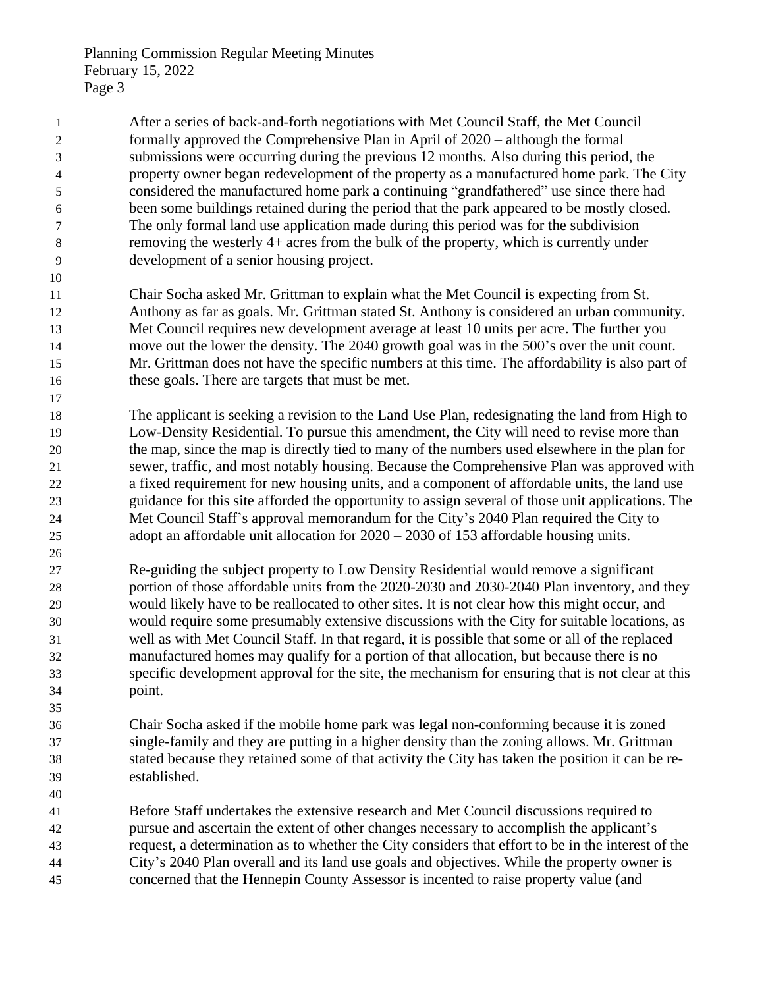After a series of back-and-forth negotiations with Met Council Staff, the Met Council formally approved the Comprehensive Plan in April of 2020 – although the formal submissions were occurring during the previous 12 months. Also during this period, the property owner began redevelopment of the property as a manufactured home park. The City considered the manufactured home park a continuing "grandfathered" use since there had been some buildings retained during the period that the park appeared to be mostly closed. The only formal land use application made during this period was for the subdivision removing the westerly 4+ acres from the bulk of the property, which is currently under development of a senior housing project.

 Chair Socha asked Mr. Grittman to explain what the Met Council is expecting from St. Anthony as far as goals. Mr. Grittman stated St. Anthony is considered an urban community. Met Council requires new development average at least 10 units per acre. The further you move out the lower the density. The 2040 growth goal was in the 500's over the unit count. Mr. Grittman does not have the specific numbers at this time. The affordability is also part of these goals. There are targets that must be met.

 The applicant is seeking a revision to the Land Use Plan, redesignating the land from High to Low-Density Residential. To pursue this amendment, the City will need to revise more than the map, since the map is directly tied to many of the numbers used elsewhere in the plan for sewer, traffic, and most notably housing. Because the Comprehensive Plan was approved with a fixed requirement for new housing units, and a component of affordable units, the land use guidance for this site afforded the opportunity to assign several of those unit applications. The Met Council Staff's approval memorandum for the City's 2040 Plan required the City to adopt an affordable unit allocation for 2020 – 2030 of 153 affordable housing units.

 Re-guiding the subject property to Low Density Residential would remove a significant portion of those affordable units from the 2020-2030 and 2030-2040 Plan inventory, and they would likely have to be reallocated to other sites. It is not clear how this might occur, and would require some presumably extensive discussions with the City for suitable locations, as well as with Met Council Staff. In that regard, it is possible that some or all of the replaced manufactured homes may qualify for a portion of that allocation, but because there is no specific development approval for the site, the mechanism for ensuring that is not clear at this point.

 Chair Socha asked if the mobile home park was legal non-conforming because it is zoned single-family and they are putting in a higher density than the zoning allows. Mr. Grittman stated because they retained some of that activity the City has taken the position it can be re-established.

 Before Staff undertakes the extensive research and Met Council discussions required to pursue and ascertain the extent of other changes necessary to accomplish the applicant's request, a determination as to whether the City considers that effort to be in the interest of the City's 2040 Plan overall and its land use goals and objectives. While the property owner is concerned that the Hennepin County Assessor is incented to raise property value (and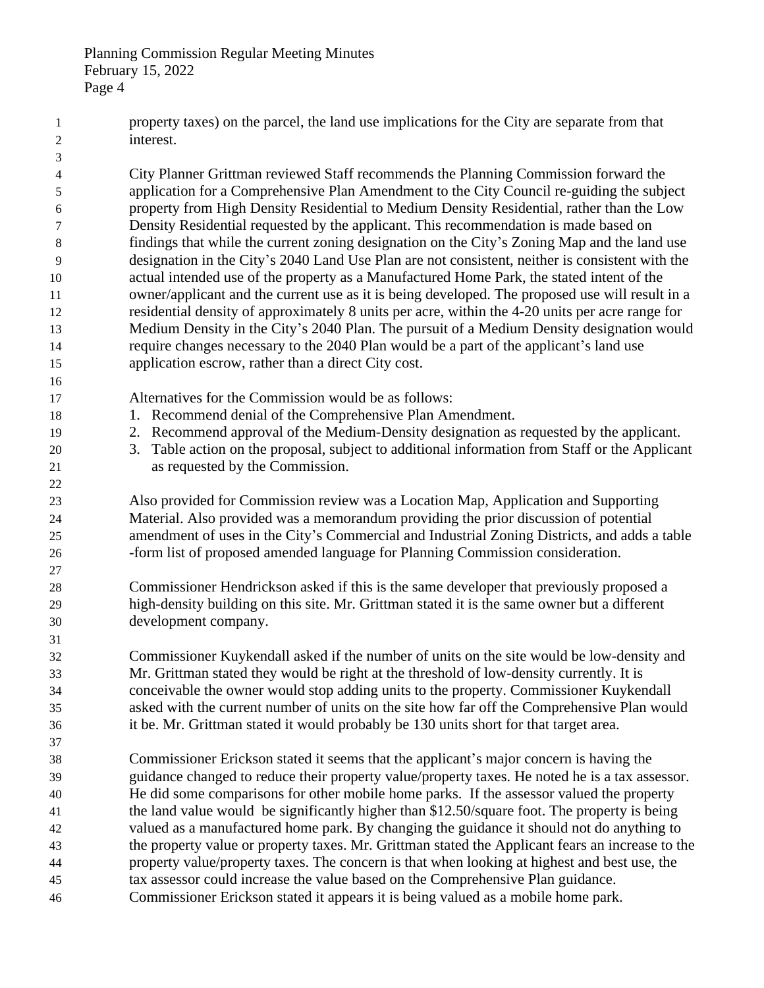property taxes) on the parcel, the land use implications for the City are separate from that interest. City Planner Grittman reviewed Staff recommends the Planning Commission forward the application for a Comprehensive Plan Amendment to the City Council re-guiding the subject property from High Density Residential to Medium Density Residential, rather than the Low Density Residential requested by the applicant. This recommendation is made based on findings that while the current zoning designation on the City's Zoning Map and the land use designation in the City's 2040 Land Use Plan are not consistent, neither is consistent with the actual intended use of the property as a Manufactured Home Park, the stated intent of the owner/applicant and the current use as it is being developed. The proposed use will result in a residential density of approximately 8 units per acre, within the 4-20 units per acre range for Medium Density in the City's 2040 Plan. The pursuit of a Medium Density designation would require changes necessary to the 2040 Plan would be a part of the applicant's land use application escrow, rather than a direct City cost. Alternatives for the Commission would be as follows: 18 18 1. Recommend denial of the Comprehensive Plan Amendment. 2. Recommend approval of the Medium-Density designation as requested by the applicant. 3. Table action on the proposal, subject to additional information from Staff or the Applicant as requested by the Commission. Also provided for Commission review was a Location Map, Application and Supporting Material. Also provided was a memorandum providing the prior discussion of potential amendment of uses in the City's Commercial and Industrial Zoning Districts, and adds a table -form list of proposed amended language for Planning Commission consideration. Commissioner Hendrickson asked if this is the same developer that previously proposed a high-density building on this site. Mr. Grittman stated it is the same owner but a different development company. Commissioner Kuykendall asked if the number of units on the site would be low-density and Mr. Grittman stated they would be right at the threshold of low-density currently. It is conceivable the owner would stop adding units to the property. Commissioner Kuykendall asked with the current number of units on the site how far off the Comprehensive Plan would it be. Mr. Grittman stated it would probably be 130 units short for that target area. Commissioner Erickson stated it seems that the applicant's major concern is having the guidance changed to reduce their property value/property taxes. He noted he is a tax assessor. He did some comparisons for other mobile home parks. If the assessor valued the property the land value would be significantly higher than \$12.50/square foot. The property is being valued as a manufactured home park. By changing the guidance it should not do anything to the property value or property taxes. Mr. Grittman stated the Applicant fears an increase to the property value/property taxes. The concern is that when looking at highest and best use, the tax assessor could increase the value based on the Comprehensive Plan guidance. Commissioner Erickson stated it appears it is being valued as a mobile home park.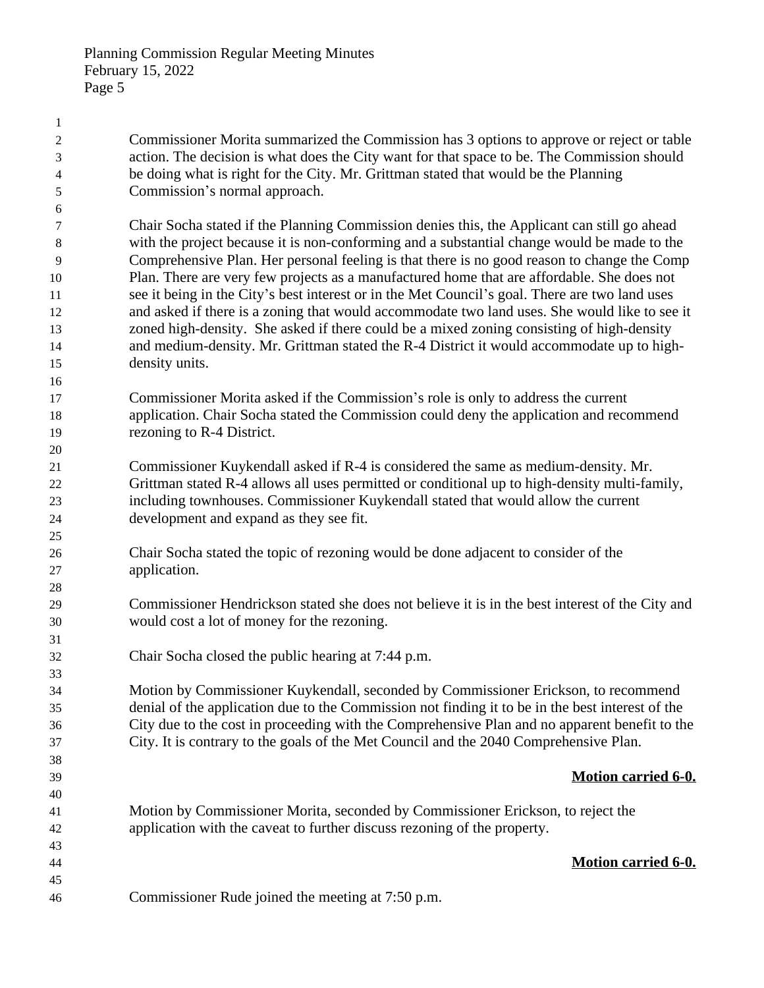Commissioner Morita summarized the Commission has 3 options to approve or reject or table action. The decision is what does the City want for that space to be. The Commission should be doing what is right for the City. Mr. Grittman stated that would be the Planning Commission's normal approach. Chair Socha stated if the Planning Commission denies this, the Applicant can still go ahead with the project because it is non-conforming and a substantial change would be made to the Comprehensive Plan. Her personal feeling is that there is no good reason to change the Comp Plan. There are very few projects as a manufactured home that are affordable. She does not 11 see it being in the City's best interest or in the Met Council's goal. There are two land uses and asked if there is a zoning that would accommodate two land uses. She would like to see it zoned high-density. She asked if there could be a mixed zoning consisting of high-density and medium-density. Mr. Grittman stated the R-4 District it would accommodate up to high- density units. Commissioner Morita asked if the Commission's role is only to address the current application. Chair Socha stated the Commission could deny the application and recommend rezoning to R-4 District. Commissioner Kuykendall asked if R-4 is considered the same as medium-density. Mr. Grittman stated R-4 allows all uses permitted or conditional up to high-density multi-family, including townhouses. Commissioner Kuykendall stated that would allow the current development and expand as they see fit. Chair Socha stated the topic of rezoning would be done adjacent to consider of the application. Commissioner Hendrickson stated she does not believe it is in the best interest of the City and would cost a lot of money for the rezoning. Chair Socha closed the public hearing at 7:44 p.m. Motion by Commissioner Kuykendall, seconded by Commissioner Erickson, to recommend denial of the application due to the Commission not finding it to be in the best interest of the City due to the cost in proceeding with the Comprehensive Plan and no apparent benefit to the City. It is contrary to the goals of the Met Council and the 2040 Comprehensive Plan. **Motion carried 6-0.** Motion by Commissioner Morita, seconded by Commissioner Erickson, to reject the application with the caveat to further discuss rezoning of the property. **Motion carried 6-0.** Commissioner Rude joined the meeting at 7:50 p.m.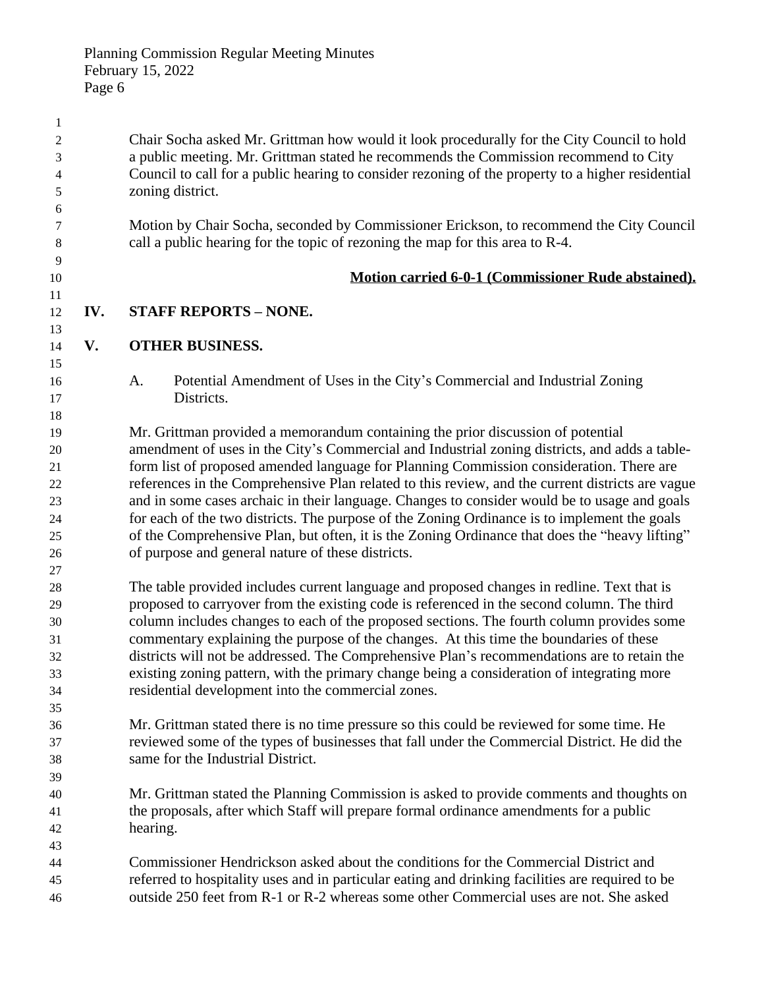Chair Socha asked Mr. Grittman how would it look procedurally for the City Council to hold a public meeting. Mr. Grittman stated he recommends the Commission recommend to City Council to call for a public hearing to consider rezoning of the property to a higher residential zoning district. Motion by Chair Socha, seconded by Commissioner Erickson, to recommend the City Council call a public hearing for the topic of rezoning the map for this area to R-4. **Motion carried 6-0-1 (Commissioner Rude abstained). IV. STAFF REPORTS – NONE. V. OTHER BUSINESS.** A. Potential Amendment of Uses in the City's Commercial and Industrial Zoning Districts. Mr. Grittman provided a memorandum containing the prior discussion of potential amendment of uses in the City's Commercial and Industrial zoning districts, and adds a table- form list of proposed amended language for Planning Commission consideration. There are references in the Comprehensive Plan related to this review, and the current districts are vague and in some cases archaic in their language. Changes to consider would be to usage and goals for each of the two districts. The purpose of the Zoning Ordinance is to implement the goals of the Comprehensive Plan, but often, it is the Zoning Ordinance that does the "heavy lifting" of purpose and general nature of these districts. The table provided includes current language and proposed changes in redline. Text that is proposed to carryover from the existing code is referenced in the second column. The third column includes changes to each of the proposed sections. The fourth column provides some commentary explaining the purpose of the changes. At this time the boundaries of these districts will not be addressed. The Comprehensive Plan's recommendations are to retain the existing zoning pattern, with the primary change being a consideration of integrating more residential development into the commercial zones. Mr. Grittman stated there is no time pressure so this could be reviewed for some time. He reviewed some of the types of businesses that fall under the Commercial District. He did the same for the Industrial District. Mr. Grittman stated the Planning Commission is asked to provide comments and thoughts on the proposals, after which Staff will prepare formal ordinance amendments for a public hearing. Commissioner Hendrickson asked about the conditions for the Commercial District and referred to hospitality uses and in particular eating and drinking facilities are required to be outside 250 feet from R-1 or R-2 whereas some other Commercial uses are not. She asked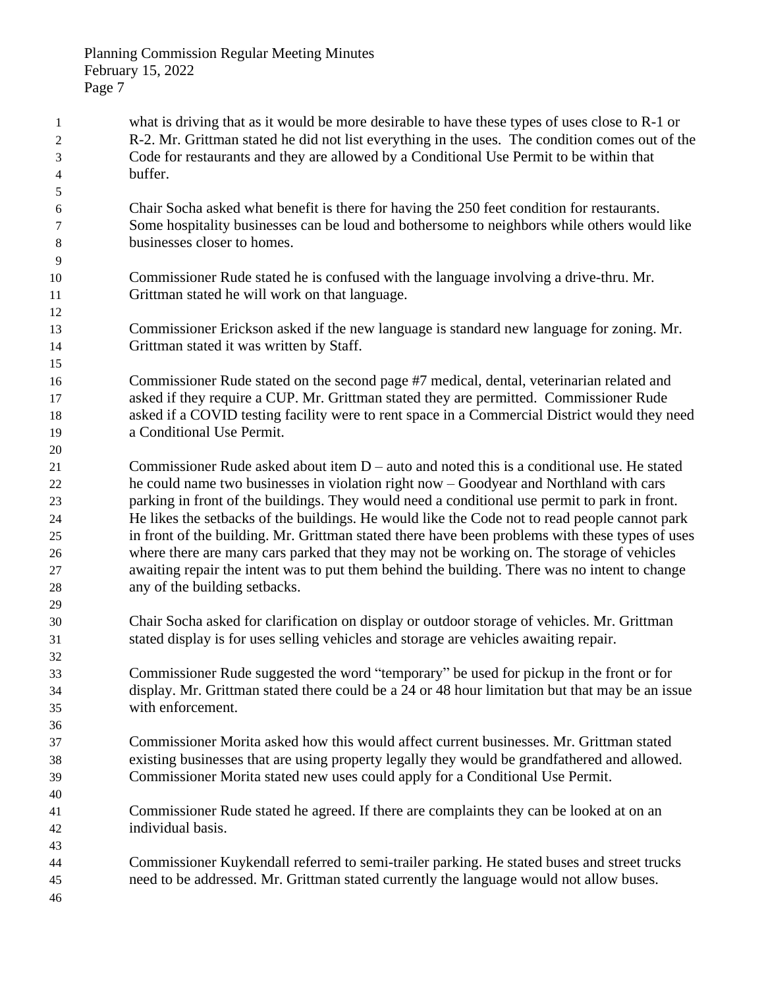| $\mathbf{1}$   | what is driving that as it would be more desirable to have these types of uses close to R-1 or  |
|----------------|-------------------------------------------------------------------------------------------------|
| $\overline{2}$ | R-2. Mr. Grittman stated he did not list everything in the uses. The condition comes out of the |
| 3              | Code for restaurants and they are allowed by a Conditional Use Permit to be within that         |
| 4              | buffer.                                                                                         |
| 5              |                                                                                                 |
| 6              | Chair Socha asked what benefit is there for having the 250 feet condition for restaurants.      |
| 7              | Some hospitality businesses can be loud and bothersome to neighbors while others would like     |
| 8              | businesses closer to homes.                                                                     |
| 9              |                                                                                                 |
| 10             | Commissioner Rude stated he is confused with the language involving a drive-thru. Mr.           |
| 11             | Grittman stated he will work on that language.                                                  |
| 12             |                                                                                                 |
| 13             | Commissioner Erickson asked if the new language is standard new language for zoning. Mr.        |
| 14             | Grittman stated it was written by Staff.                                                        |
| 15             |                                                                                                 |
| 16             | Commissioner Rude stated on the second page #7 medical, dental, veterinarian related and        |
| 17             | asked if they require a CUP. Mr. Grittman stated they are permitted. Commissioner Rude          |
| 18             | asked if a COVID testing facility were to rent space in a Commercial District would they need   |
| 19             | a Conditional Use Permit.                                                                       |
| 20             |                                                                                                 |
| 21             | Commissioner Rude asked about item $D$ – auto and noted this is a conditional use. He stated    |
|                | he could name two businesses in violation right now – Goodyear and Northland with cars          |
| 22<br>23       | parking in front of the buildings. They would need a conditional use permit to park in front.   |
|                | He likes the setbacks of the buildings. He would like the Code not to read people cannot park   |
| 24             |                                                                                                 |
| 25             | in front of the building. Mr. Grittman stated there have been problems with these types of uses |
| 26             | where there are many cars parked that they may not be working on. The storage of vehicles       |
| 27             | awaiting repair the intent was to put them behind the building. There was no intent to change   |
| 28             | any of the building setbacks.                                                                   |
| 29             |                                                                                                 |
| 30             | Chair Socha asked for clarification on display or outdoor storage of vehicles. Mr. Grittman     |
| 31             | stated display is for uses selling vehicles and storage are vehicles awaiting repair.           |
| 32             |                                                                                                 |
| 33             | Commissioner Rude suggested the word "temporary" be used for pickup in the front or for         |
| 34             | display. Mr. Grittman stated there could be a 24 or 48 hour limitation but that may be an issue |
| 35             | with enforcement.                                                                               |
| 36             |                                                                                                 |
| 37             | Commissioner Morita asked how this would affect current businesses. Mr. Grittman stated         |
| 38             | existing businesses that are using property legally they would be grandfathered and allowed.    |
| 39             | Commissioner Morita stated new uses could apply for a Conditional Use Permit.                   |
| 40             |                                                                                                 |
| 41             | Commissioner Rude stated he agreed. If there are complaints they can be looked at on an         |
| 42             | individual basis.                                                                               |
| 43             |                                                                                                 |
| 44             | Commissioner Kuykendall referred to semi-trailer parking. He stated buses and street trucks     |
| 45             | need to be addressed. Mr. Grittman stated currently the language would not allow buses.         |
| 46             |                                                                                                 |
|                |                                                                                                 |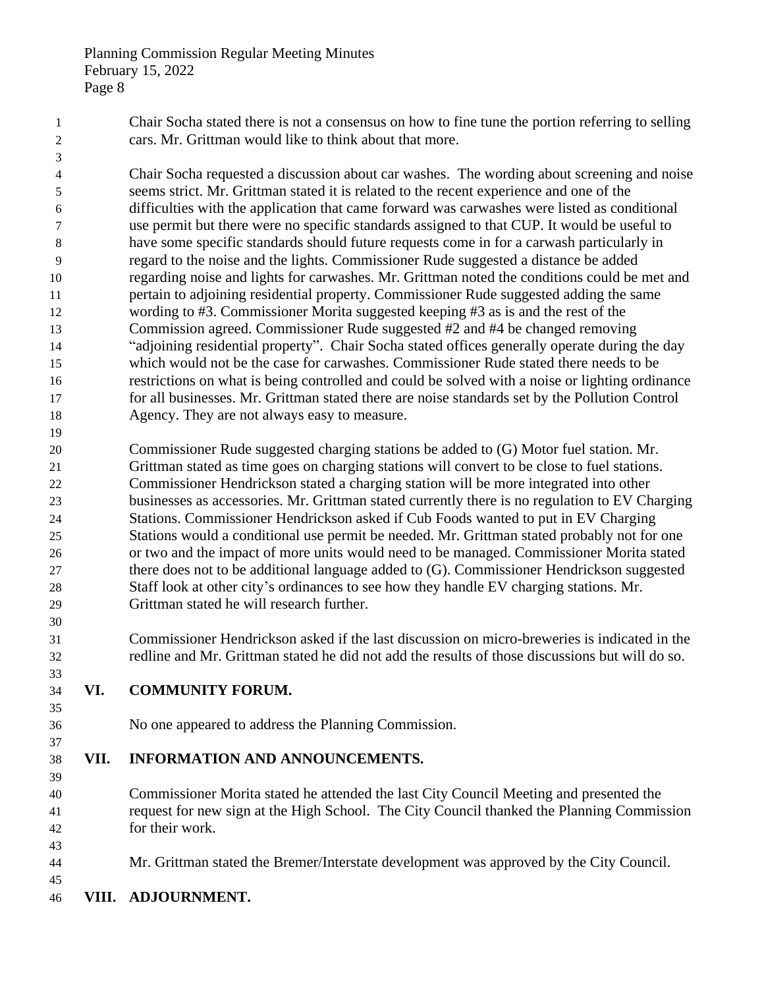Chair Socha stated there is not a consensus on how to fine tune the portion referring to selling cars. Mr. Grittman would like to think about that more.

 Chair Socha requested a discussion about car washes. The wording about screening and noise seems strict. Mr. Grittman stated it is related to the recent experience and one of the difficulties with the application that came forward was carwashes were listed as conditional use permit but there were no specific standards assigned to that CUP. It would be useful to have some specific standards should future requests come in for a carwash particularly in regard to the noise and the lights. Commissioner Rude suggested a distance be added regarding noise and lights for carwashes. Mr. Grittman noted the conditions could be met and pertain to adjoining residential property. Commissioner Rude suggested adding the same wording to #3. Commissioner Morita suggested keeping #3 as is and the rest of the Commission agreed. Commissioner Rude suggested #2 and #4 be changed removing "adjoining residential property". Chair Socha stated offices generally operate during the day which would not be the case for carwashes. Commissioner Rude stated there needs to be restrictions on what is being controlled and could be solved with a noise or lighting ordinance for all businesses. Mr. Grittman stated there are noise standards set by the Pollution Control Agency. They are not always easy to measure.

 Commissioner Rude suggested charging stations be added to (G) Motor fuel station. Mr. Grittman stated as time goes on charging stations will convert to be close to fuel stations. Commissioner Hendrickson stated a charging station will be more integrated into other businesses as accessories. Mr. Grittman stated currently there is no regulation to EV Charging Stations. Commissioner Hendrickson asked if Cub Foods wanted to put in EV Charging Stations would a conditional use permit be needed. Mr. Grittman stated probably not for one or two and the impact of more units would need to be managed. Commissioner Morita stated there does not to be additional language added to (G). Commissioner Hendrickson suggested Staff look at other city's ordinances to see how they handle EV charging stations. Mr. Grittman stated he will research further.

 Commissioner Hendrickson asked if the last discussion on micro-breweries is indicated in the redline and Mr. Grittman stated he did not add the results of those discussions but will do so.

- **VI. COMMUNITY FORUM.**
- 

No one appeared to address the Planning Commission.

## **VII. INFORMATION AND ANNOUNCEMENTS.**

 Commissioner Morita stated he attended the last City Council Meeting and presented the request for new sign at the High School. The City Council thanked the Planning Commission for their work.

- Mr. Grittman stated the Bremer/Interstate development was approved by the City Council.
- **VIII. ADJOURNMENT.**